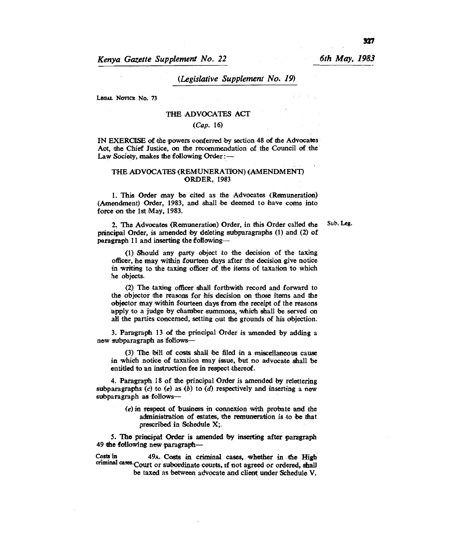*Kenya Gazette Supplement No. 22 6th May, 1983* 

**paragraph 11 and inserting the following-** 

# *(Legislative Supplement No. 19)*

**LEGAL NOTICE No. 73** 

### **THE ADVOCATES ACT**

*(Cap.* **16)** 

IN EXERCISE of the powers conferred by section 48 of the Advocates **Act, the Chief Justice, on the recommendation of the Council of the**  Law Society, makes the following Order : —

### **THE ADVOCATES (REMUNERATION) (AMENDMENT) ORDER, 1983**

1. This Order may be cited as the Advocates (Remuneration) (Amendment) Order, 1983, and shall be deemed to have come into **force on the 1St May, 1983.** 

**Sub. Leg.** 

**(1) Should any party object to the decision of the taxing officer, he may within fourteen days after the decision give notice in writing to the taxing officer of the items of taxation to which he objects.** 

**2. The Advocates (Remuneration) Order, in this Order called the principal Order, is amended by deleting subparagraphs (1) and (2) of** 

**(2) The taxing officer shall forthwith record and forward to the objector the reasons for his decision on those items and the objector may within fourteen days from the receipt of the reasons apply to a judge by chamber summons, which shall be served on all the parties concerned, setting out the grounds of his objection.** 

**3. Paragraph 13 of the principal Order is amended by adding a new subparagraph as follows-** 

**(3) The bill of costs shall be filed in a miscellaneous cause in which notice of taxation may issue, but no advocate shall be entitled to an instruction fee in respect thereof.** 

4. Paragraph 18 of the principal Order is amended by relettering subparagraphs (c) to (e) as (b) to (d) respectively and inserting a new subparagraph as follows—

*(e)* **in respect of business in connexion with probate and the administration of estates, the remuneration is to be that prescribed in Schedule X;.** 

**5. The principal Order is amended by inserting after paragraph 49 the following new paragraph—** 

**Costs in 49A. Costs in criminal cases, whether in the High criminal cam.Court or subordinate counts, if not agreed or ordered, shall be taxed as between advocate and client under Schedule V.**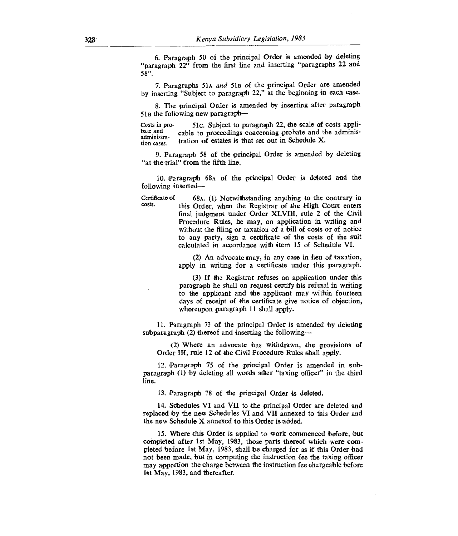6. Paragraph 50 of the principal Order is amended by deleting "paragraph 22" from the first line and inserting "paragraphs 22 and 58"

7. Paragraphs 51A *and* Sin of the principal Order are amended by inserting "Subject to paragraph 22," at the beginning in each case.

8. The principal Order is amended by inserting after paragraph 51B the following new paragraph—

Costs in pro-<br>bate and cable to proceedings concerning probate and the administration cable to proceedings concerning probate and the administra-<br>administra-<br>contribution of activities is that and out in Schoolule Y. administration cases. tration of estates is that set out in Schedule X.

9. Paragraph 58 of the principal Order is amended by deleting "at the trial" from the fifth line.

10. Paragraph 68A of the principal Order is deleted and the following inserted—

Certificate of Certificate of 68A. (1) Notwithstanding anything to the contrary in costs.<br>
this Order when the Begistrar of the High Court enters this Order, when the Registrar of the High Court enters final judgment under Order XLVIII, rule 2 of the Civil Procedure Rules, he may, on application in writing and without the filing or taxation of a bill of costs or of notice to any party, sign a certificate of the costs of the suit calculated in accordance with item 15 of Schedule VI.

> (2) An advocate may, in any case in lieu of taxation, apply in writing for a certificate under this paragraph.

> (3) If the Registrar refuses an application under this paragraph he shall on request certify his refusal in writing to the applicant and the applicant may within fourteen days of receipt of the certificate give notice of objection, whereupon paragraph 11 shall apply.

11.Paragraph 73 of the principal Order is amended by deleting subparagraph (2) thereof and inserting the following—

(2) Where an advocate has withdrawn, the provisions of Order III, rule 12 of the Civil Procedure Rules shall apply.

12.Paragraph 75 of the principal Order is amended in subparagraph (1) by deleting all words after "taxing officer" in the third line.

13.Paragraph 78 of the principal Order is deleted.

14.Schedules VI and VII to the principal Order are deleted and replaced by the new Schedules VI and VII annexed to this Order and the new Schedule X annexed to this Order is added.

15.Where this Order is applied to work commenced before, but completed after 1st May, 1983, those parts thereof which were completed before 1st May, 1983, shall be charged for as if this Order had not been made, but in computing the instruction fee the taxing officer may apportion the charge between the instruction fee chargeable before 1st May, 1983, and thereafter.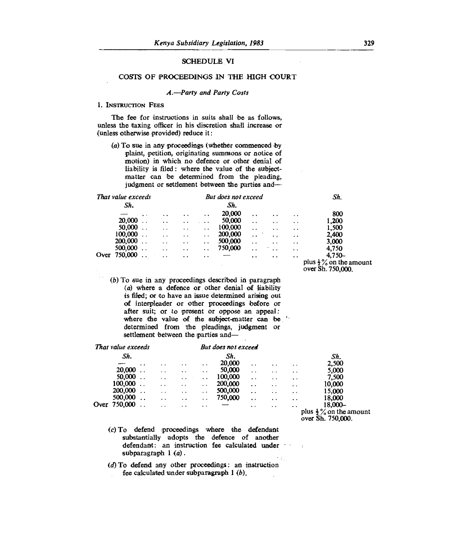# SCHEDULE VI

### COSTS OF PROCEEDINGS IN THE HIGH COURT

### *A.-Party and Party Costs*

#### **1. INSTRUCTION FEES**

The fee for instructions in suits shall *be* as follows, unless the taxing officer in his discretion shall increase or (unless otherwise provided) reduce it:

(a) To sue in any proceedings (whether commenced by plaint, petition, originating summons or notice of motion) in which no defence or other denial of liability is filed : where the value of the subjectmatter can be determined from the pleading, judgment or settlement between the parties and-

| That value exceeds |         |           | But does not exceed  |                      |                      |         |                      |                      | Sh.                  |                                                         |  |
|--------------------|---------|-----------|----------------------|----------------------|----------------------|---------|----------------------|----------------------|----------------------|---------------------------------------------------------|--|
|                    | Sh.     |           |                      |                      |                      | Sh.     |                      |                      |                      |                                                         |  |
|                    |         | $\bullet$ | $\ddot{\phantom{0}}$ |                      | $\cdot$ .            | 20,000  | $\ddot{\phantom{0}}$ | $\cdot$ .            | $\ddot{\phantom{1}}$ | 800                                                     |  |
|                    | 20,000  |           | $\ddot{\phantom{1}}$ | $\cdot$ .            | $\cdots$             | 50,000  | $\ddot{\phantom{1}}$ | $\ddot{\phantom{a}}$ | $\ddot{\phantom{1}}$ | 1,200                                                   |  |
|                    | 50,000  |           | $\cdot$ .            | $\ddot{\phantom{a}}$ | $\ddot{\phantom{0}}$ | 100,000 | $\ddot{\phantom{0}}$ | $\cdot$ .            | $\ddot{\phantom{0}}$ | 1,500                                                   |  |
|                    | 100,000 |           | $\ddot{\phantom{1}}$ | $\ddot{\phantom{0}}$ | $\ddot{\phantom{1}}$ | 200,000 | $\ddot{\phantom{1}}$ | $\bullet\bullet$     | $\ddot{\phantom{1}}$ | 2,400                                                   |  |
|                    | 200,000 |           | $\cdot$ $\cdot$      | $\cdot$ .            | $\bullet$ $\bullet$  | 500,000 | . .                  | $\bullet$            | $\ddot{\phantom{0}}$ | 3.000                                                   |  |
|                    | 500,000 |           | $\cdot$ $\cdot$      | $\ddot{\phantom{1}}$ | $\sim$ $\sim$        | 750,000 | $\ddot{\phantom{0}}$ | n vu                 | $\ddot{\phantom{a}}$ | 4,750                                                   |  |
| Over               | 750,000 |           | $\cdot$ .            | $\ddot{\phantom{0}}$ | $\cdot$ $\cdot$      |         | $\ddot{\phantom{1}}$ | $\bullet$            | $\ddot{\phantom{1}}$ | $4.750 -$                                               |  |
|                    |         |           |                      |                      |                      |         |                      |                      |                      | plus $\frac{1}{2}$ % on the amount<br>over Sh. 750,000. |  |

*(b)* To sue in any proceedings described in paragraph *(a)* where a defence or other denial of liability is filed; or to have an issue determined arising out of interpleader or other proceedings before or after suit; or to present or oppose an appeal : where the value of the subject-matter can be determined from the pleadings, judgment or settlement between the parties and-

|      | That value exceeds |                      |                      |                      |                      | But does not exceed |                      |                      |                      |                                                         |
|------|--------------------|----------------------|----------------------|----------------------|----------------------|---------------------|----------------------|----------------------|----------------------|---------------------------------------------------------|
|      | Sh.                |                      |                      |                      |                      | Sh.                 |                      |                      |                      | Sh.                                                     |
|      |                    | $\ddot{\phantom{a}}$ | $\ddot{\phantom{0}}$ | $\ddot{\phantom{0}}$ | $\cdot$ $\cdot$      | 20,000              | $\ddot{\phantom{a}}$ | $\ddot{\phantom{0}}$ | $\ddot{\phantom{1}}$ | 2,500                                                   |
|      | 20,000             |                      | $\ddot{\phantom{1}}$ | $\ddot{\phantom{a}}$ | $\cdot$ $\cdot$      | 50,000              | $\ddot{\phantom{a}}$ | $\cdot$ .            | $\cdot$ $\cdot$      | 5,000                                                   |
|      | 50,000             |                      | $\ddot{\phantom{1}}$ | $\ddot{\phantom{a}}$ | $\ddot{\phantom{0}}$ | 100,000             | $\ddot{\phantom{1}}$ | $\ddot{\phantom{1}}$ | $\cdot$ $\cdot$      | 7.500                                                   |
|      | 100,000            |                      | $\ddot{\phantom{a}}$ | $\bullet$            | $\sim$               | 200,000             | $\ddot{\phantom{0}}$ | . .                  | $\ddot{\phantom{0}}$ | 10,000                                                  |
|      | 200,000            |                      | $\cdot$ $\cdot$      | $\ddot{\phantom{1}}$ | $\ddot{\phantom{1}}$ | 500,000             | $\ddot{\phantom{0}}$ | $\ddot{\phantom{0}}$ | $\cdots$             | 15,000                                                  |
|      | 500,000            | $\ddot{\phantom{0}}$ | $\ddot{\phantom{1}}$ | $\ddot{\phantom{a}}$ | $\ddot{\phantom{1}}$ | 750,000             | $\cdot$ .            | $\cdot$ $\cdot$      | $\ddot{\phantom{0}}$ | 18.000                                                  |
| Over | 750,000            |                      | . .                  | $\ddot{\phantom{1}}$ | $\cdot$ .            |                     | $\bullet$            | $\ddot{\phantom{1}}$ | $\cdot$ .            | 18,000-                                                 |
|      |                    |                      |                      |                      |                      |                     |                      |                      |                      | plus $\frac{1}{2}$ % on the amount<br>over Sh. 750,000. |

- (c) To defend proceedings where the defendant substantially adopts the defence of another defendant: an instruction fee calculated under subparagraph 1 (a).
- $(d)$  To defend any other proceedings: an instruction fee calculated under subparagraph 1 *(b).*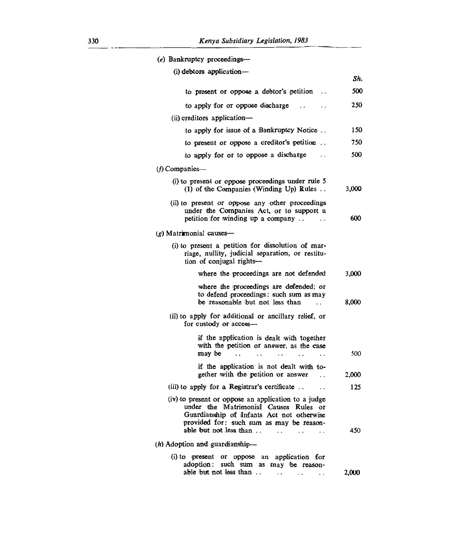| (e) Bankruptcy proceedings-                                                                                                                                                                                                                                                 |       |
|-----------------------------------------------------------------------------------------------------------------------------------------------------------------------------------------------------------------------------------------------------------------------------|-------|
| (i) debtors application-                                                                                                                                                                                                                                                    |       |
|                                                                                                                                                                                                                                                                             | Sh.   |
| to present or oppose a debtor's petition<br>. .                                                                                                                                                                                                                             | 500   |
| to apply for or oppose discharge                                                                                                                                                                                                                                            | 250   |
| $(ii)$ creditors application—                                                                                                                                                                                                                                               |       |
| to apply for issue of a Bankruptcy Notice                                                                                                                                                                                                                                   | 150   |
| to present or oppose a creditor's petition                                                                                                                                                                                                                                  | 750   |
| to apply for or to oppose a discharge<br>$\ddot{\phantom{0}}$                                                                                                                                                                                                               | 500   |
| $(f)$ Companies—                                                                                                                                                                                                                                                            |       |
| (i) to present or oppose proceedings under rule 5<br>(1) of the Companies (Winding Up) Rules                                                                                                                                                                                | 3,000 |
| (ii) to present or oppose any other proceedings<br>under the Companies Act, or to support a<br>petition for winding up a company<br>$\ddotsc$                                                                                                                               | 600   |
| (g) Matrimonial causes—                                                                                                                                                                                                                                                     |       |
| (i) to present a petition for dissolution of mar-<br>riage, nullity, judicial separation, or restitu-<br>tion of conjugal rights-                                                                                                                                           |       |
| where the proceedings are not defended                                                                                                                                                                                                                                      | 3,000 |
| where the proceedings are defended; or<br>to defend proceedings: such sum as may<br>be reasonable but not less than                                                                                                                                                         | 8,000 |
| (ii) to apply for additional or ancillary relief, or<br>for custody or access-                                                                                                                                                                                              |       |
| if the application is dealt with together<br>with the petition or answer, as the case<br>may be<br>$\ddot{\phantom{0}}$<br>$\ddots$<br>$\ddot{\phantom{0}}$<br>. .                                                                                                          | 500   |
| if the application is not dealt with to-<br>gether with the petition or answer<br>$\ddots$                                                                                                                                                                                  | 2,000 |
| (iii) to apply for a Registrar's certificate<br>. .                                                                                                                                                                                                                         | 125   |
| (iv) to present or oppose an application to a judge<br>under the Matrimonial Causes Rules or<br>Guardianship of Infants Act not otherwise<br>provided for: such sum as may be reason-<br>able but not less than<br>$\ddot{\phantom{0}}$<br>$\cdots$<br>$\ddot{\phantom{0}}$ | 450   |
| (h) Adoption and guardianship-                                                                                                                                                                                                                                              |       |
| (i) to present or oppose an application for<br>adoption: such sum as may be reason-<br>able but not less than<br>$\cdot$ .<br>. .                                                                                                                                           | 2,000 |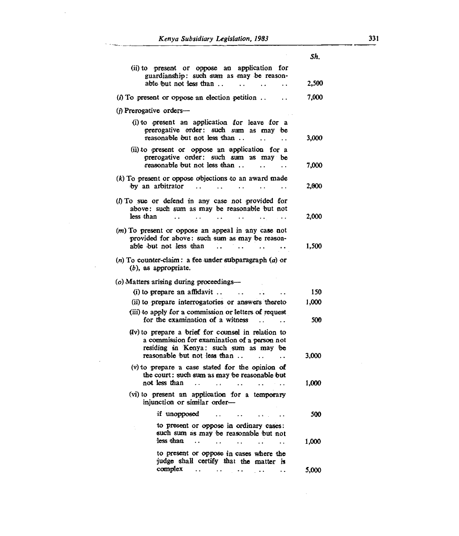|                                                                                                                                                                                    | Sh.   |
|------------------------------------------------------------------------------------------------------------------------------------------------------------------------------------|-------|
| (ii) to present or oppose an application for<br>guardianship: such sum as may be reason-<br>able but not less than                                                                 | 2,500 |
| $\ddot{\phantom{0}}$<br>$\ddot{\phantom{0}}$                                                                                                                                       |       |
| $(i)$ To present or oppose an election petition                                                                                                                                    | 7,000 |
| $(j)$ Prerogative orders—                                                                                                                                                          |       |
| (i) to present an application for leave for a<br>prerogative order: such sum as may be<br>reasonable but not less than                                                             | 3,000 |
| (ii) to present or oppose an application for a<br>prerogative order: such sum as may be<br>reasonable but not less than<br>$\ddot{\phantom{0}}$                                    | 7,000 |
| $(k)$ To present or oppose objections to an award made<br>by an arbitrator<br>$\cdot$ .<br>$\ddot{\phantom{0}}$<br>$\ddot{\phantom{0}}$                                            | 2,000 |
| (I) To sue or defend in any case not provided for<br>above: such sum as may be reasonable but not<br>less than                                                                     | 2,000 |
| (m) To present or oppose an appeal in any case not<br>provided for above: such sum as may be reason-<br>able but not less than                                                     | 1,500 |
| (n) To counter-claim: a fee under subparagraph $(a)$ or<br>$(b)$ , as appropriate.                                                                                                 |       |
| (o) Matters arising during proceedings-                                                                                                                                            |       |
| $(i)$ to prepare an affidavit<br>$\cdots$                                                                                                                                          | 150   |
| (ii) to prepare interrogatories or answers thereto                                                                                                                                 | 1,000 |
| (iii) to apply for a commission or letters of request<br>for the examination of a witness                                                                                          | 500   |
| (iv) to prepare a brief for counsel in relation to<br>a commission for examination of a person not<br>residing in Kenya: such sum as may be<br>reasonable but not less than<br>. . | 3,000 |
| (v) to prepare a case stated for the opinion of<br>the court: such sum as may be reasonable but                                                                                    |       |
| not less than                                                                                                                                                                      | 1,000 |
| (vi) to present an application for a temporary<br>injunction or similar order-                                                                                                     |       |
| if unopposed<br>the contract of the                                                                                                                                                | 500   |
| to present or oppose in ordinary cases:<br>such sum as may be reasonable but not<br>less than<br>$\cdots$<br>$\cdot$ .<br>$\cdot$ .                                                | 1,000 |
| to present or oppose in cases where the<br>judge shall certify that the matter is                                                                                                  |       |
| complex<br>$\sim$ $\sim$ $\sim$<br>$\cdots$ $\cdots$ $\cdots$                                                                                                                      | 5,000 |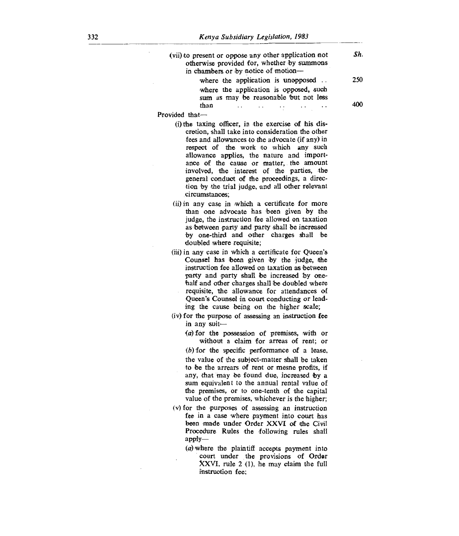| (vii) to present or oppose any other application not<br>otherwise provided for, whether by summons<br>in chambers or by notice of motion—                                                                                                                                                                                                                                                                                                                      | Sh. |
|----------------------------------------------------------------------------------------------------------------------------------------------------------------------------------------------------------------------------------------------------------------------------------------------------------------------------------------------------------------------------------------------------------------------------------------------------------------|-----|
| where the application is unopposed<br>where the application is opposed, such<br>sum as may be reasonable but not less                                                                                                                                                                                                                                                                                                                                          | 250 |
| than<br>$\ddot{\phantom{0}}$                                                                                                                                                                                                                                                                                                                                                                                                                                   | 400 |
| Provided that-                                                                                                                                                                                                                                                                                                                                                                                                                                                 |     |
| (i) the taxing officer, in the exercise of his dis-<br>cretion, shall take into consideration the other<br>fees and allowances to the advocate (if any) in<br>respect of the work to which any such<br>allowance applies, the nature and import-<br>ance of the cause or matter, the amount<br>involved, the interest of the parties, the<br>general conduct of the proceedings, a direc-<br>tion by the trial judge, and all other relevant<br>circumstances; |     |
| (ii) in any case in which a certificate for more<br>than one advocate has been given by the<br>judge, the instruction fee allowed on taxation<br>as between party and party shall be increased<br>by one-third and other charges shall<br>Ъe<br>doubled where requisite;                                                                                                                                                                                       |     |
| (iii) in any case in which a certificate for Queen's<br>Counsel has been given by the judge, the<br>instruction fee allowed on taxation as between<br>party and party shall be increased by one-<br>half and other charges shall be doubled where<br>requisite, the allowance for attendances of<br>Queen's Counsel in court conducting or lead-<br>ing the cause being on the higher scale;                                                                   |     |
| (iv) for the purpose of assessing an instruction fee                                                                                                                                                                                                                                                                                                                                                                                                           |     |
| in any suit-                                                                                                                                                                                                                                                                                                                                                                                                                                                   |     |
| (a) for the possession of premises, with or<br>without a claim for arreas of rent; or<br>$(b)$ for the specific performance of a lease,<br>the value of the subject-matter shall be taken<br>to be the arrears of rent or mesne profits, if<br>any, that may be found due, increased by a<br>sum equivalent to the annual rental value of<br>the premises, or to one-tenth of the capital<br>value of the premises, whichever is the higher;                   |     |
| (v) for the purposes of assessing an instruction<br>fee in a case where payment into court has<br>been made under Order XXVI of the Civil<br>Procedure Rules the following rules shall<br>$apply-$<br>$(a)$ where the plaintiff accepts payment into<br>court under the provisions of Order<br>XXVI, rule 2 (1), he may claim the full<br>instruction fee:                                                                                                     |     |
|                                                                                                                                                                                                                                                                                                                                                                                                                                                                |     |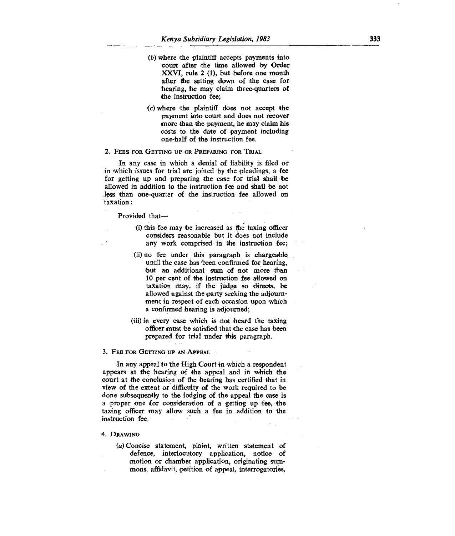- (b) where the plaintiff accepts payments into court after the time allowed by Order XXVI, rule 2 (1), but before one month after the setting down of the case for hearing, he may claim three-quarters of the instruction fee;
- (c) where the plaintiff does not accept the payment into court and does not recover more than the payment, he may claim his costs to the date of payment including one-half of the instruction fee.

#### 2. **FEES FOR GETTING UP OR PREPARING FOR TRIM,**

In any case in which a denial of liability is filed or in which issues for trial are joined by the pleadings, a fee for getting up and preparing the case for trial shall be allowed in addition to the instruction fee and shall be not less than one-quarter of the instruction fee allowed on taxation :

#### Provided that-

- (0 this fee may be increased as the taxing officer considers reasonable but it does not include any work comprised in the instruction fee;.
- (ii) no fee under this paragraph is chargeable until the case has been confirmed for hearing, but an additional sum of not more than 10 per cent of the instruction fee allowed on taxation may, if the judge so directs, be allowed against the party seeking the adjournment in respect of each occasion upon which a confirmed hearing is adjourned;
- (iii) in every case which is not heard the taxing officer must be satisfied that the case has been prepared for trial under this paragraph.

#### 3. **FEE FOR GETTING UP AN APPEAL**

In any appeal to the High Court in which a respondent appears at the hearing of the appeal and in which the court at the conclusion of the hearing has certified that in view of the extent or difficulty of the work required to be done subsequently to the lodging of the appeal the case is a proper one for consideration of a getting up fee, the taxing officer may allow such a fee in addition to the instruction **fee.** 

### **4. DRAWING**

*(a) Concise* statement, plaint, written statement of defence, interlocutory application, notice of motion or chamber application, originating summons, affidavit, petition of appeal, interrogatories,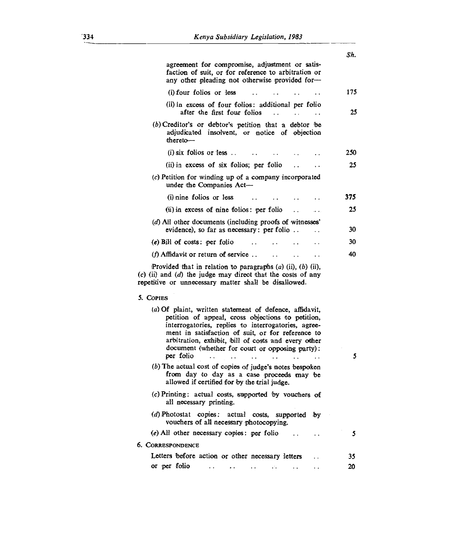|                                                                                                                                                                                                                                                                                                                                                 | Sh. |
|-------------------------------------------------------------------------------------------------------------------------------------------------------------------------------------------------------------------------------------------------------------------------------------------------------------------------------------------------|-----|
| agreement for compromise, adjustment or satis-<br>faction of suit, or for reference to arbitration or<br>any other pleading not otherwise provided for-                                                                                                                                                                                         |     |
| (i) four folios or less                                                                                                                                                                                                                                                                                                                         | 175 |
| (ii) in excess of four folios: additional per folio<br>after the first four folios<br>$\ddot{\phantom{0}}$                                                                                                                                                                                                                                      | 25  |
| (b) Creditor's or debtor's petition that a debtor be<br>adjudicated insolvent, or notice of objection<br>thereto-                                                                                                                                                                                                                               |     |
| $(i)$ six folios or less                                                                                                                                                                                                                                                                                                                        | 250 |
| (ii) in excess of six folios; per folio                                                                                                                                                                                                                                                                                                         | 25  |
| (c) Petition for winding up of a company incorporated<br>under the Companies Act-                                                                                                                                                                                                                                                               |     |
| (i) nine folios or less                                                                                                                                                                                                                                                                                                                         | 375 |
| (ii) in excess of nine folios: per folio                                                                                                                                                                                                                                                                                                        | 25  |
| (d) All other documents (including proofs of witnesses'                                                                                                                                                                                                                                                                                         |     |
| evidence), so far as necessary: per folio<br>. .                                                                                                                                                                                                                                                                                                | 30  |
| $(e)$ Bill of costs: per folio                                                                                                                                                                                                                                                                                                                  | 30  |
| $(f)$ Affidavit or return of service<br>$\cdot$ $\cdot$                                                                                                                                                                                                                                                                                         | 40  |
| Provided that in relation to paragraphs $(a)$ (ii), $(b)$ (ii),<br>$(c)$ (ii) and $(d)$ the judge may direct that the costs of any<br>repetitive or unnecessary matter shall be disallowed.                                                                                                                                                     |     |
| 5. Copies                                                                                                                                                                                                                                                                                                                                       |     |
| (a) Of plaint, written statement of defence, affidavit,<br>petition of appeal, cross objections to petition,<br>interrogatories, replies to interrogatories, agree-<br>ment in satisfaction of suit, or for reference to<br>arbitration, exhibit, bill of costs and every other<br>document (whether for court or opposing party):<br>per folio | 5   |
| (b) The actual cost of copies of judge's notes bespoken<br>from day to day as a case proceeds may be<br>allowed if certified for by the trial judge.                                                                                                                                                                                            |     |
| (c) Printing: actual costs, supported by vouchers of<br>all necessary printing.                                                                                                                                                                                                                                                                 |     |
| (d) Photostat copies: actual costs, supported by<br>vouchers of all necessary photocopying.                                                                                                                                                                                                                                                     |     |
| (e) All other necessary copies: per folio<br>$\sim$ $\sim$                                                                                                                                                                                                                                                                                      | 5   |
| 6. CORRESPONDENCE                                                                                                                                                                                                                                                                                                                               |     |
| Letters before action or other necessary letters                                                                                                                                                                                                                                                                                                | 35  |
| or per folio<br>$\cdots$ $\cdots$<br>$\mathcal{L}_{\mathcal{A}}$                                                                                                                                                                                                                                                                                | 20  |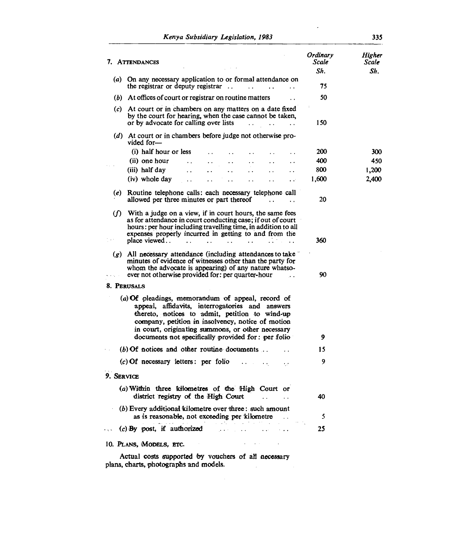| 7. ATTENDANCES           |                                                                                                                                                                                                                                                                                                                                             | Ordinary<br>Scale | Higher<br>Scale |
|--------------------------|---------------------------------------------------------------------------------------------------------------------------------------------------------------------------------------------------------------------------------------------------------------------------------------------------------------------------------------------|-------------------|-----------------|
|                          |                                                                                                                                                                                                                                                                                                                                             | Sh.               | Sh.             |
|                          | (a) On any necessary application to or formal attendance on<br>the registrar or deputy registrar $\ldots$                                                                                                                                                                                                                                   | 75                |                 |
|                          | (b) At offices of court or registrar on routine matters                                                                                                                                                                                                                                                                                     | 50                |                 |
|                          | (c) At court or in chambers on any matters on a date fixed<br>by the court for hearing, when the case cannot be taken.<br>or by advocate for calling over lists<br>$\sim$ $\sim$                                                                                                                                                            | 150               |                 |
| vided for-               | (d) At court or in chambers before judge not otherwise pro-                                                                                                                                                                                                                                                                                 |                   |                 |
|                          | (i) half hour or less                                                                                                                                                                                                                                                                                                                       | 200               | 300             |
| (ii) one hour            | . .                                                                                                                                                                                                                                                                                                                                         | 400               | 450             |
| (iii) half day           | $\ddot{\phantom{0}}$                                                                                                                                                                                                                                                                                                                        | 800               | 1,200           |
| (iv) whole day           | . .                                                                                                                                                                                                                                                                                                                                         | 1,600             | 2,400           |
| (e)                      | Routine telephone calls: each necessary telephone call<br>allowed per three minutes or part thereof<br>$\ddot{\phantom{0}}$<br>$\ddot{\phantom{a}}$                                                                                                                                                                                         | 20                |                 |
| $\omega$<br>place viewed | With a judge on a view, if in court hours, the same fees<br>as for attendance in court conducting case; if out of court<br>hours: per hour including travelling time, in addition to all<br>expenses properly incurred in getting to and from the<br>$\ddot{\phantom{a}}$<br>$\overline{a}$<br>$\ddot{\phantom{a}}$<br>$\ddot{\phantom{a}}$ | 360               |                 |
|                          | $(g)$ All necessary attendance (including attendances to take<br>minutes of evidence of witnesses other than the party for<br>whom the advocate is appearing) of any nature whatso-<br>ever not otherwise provided for: per quarter-hour                                                                                                    | 90                |                 |
| 8. Perusals              |                                                                                                                                                                                                                                                                                                                                             |                   |                 |
|                          | (a) Of pleadings, memorandum of appeal, record of<br>appeal, affidavits, interrogatories and answers<br>thereto, notices to admit, petition to wind-up<br>company, petition in insolvency, notice of motion<br>in court, originating summons, or other necessary<br>documents not specifically provided for: per folio                      | 9                 |                 |
|                          | $(b)$ Of notices and other routine documents.                                                                                                                                                                                                                                                                                               | 15                |                 |
|                          | $(c)$ Of necessary letters: per folio<br>×.                                                                                                                                                                                                                                                                                                 | 9                 |                 |
| 9. Service               |                                                                                                                                                                                                                                                                                                                                             |                   |                 |
|                          | (a) Within three kilometres of the High Court or<br>district registry of the High Court                                                                                                                                                                                                                                                     | 40                |                 |
|                          | (b) Every additional kilometre over three: such amount<br>as is reasonable, not exceeding per kilometre                                                                                                                                                                                                                                     | 5                 |                 |
| الجرجة                   | $(c)$ By post, if authorized $\cdots$<br><b>Contractor</b><br>$\sim$ $\sim$ $\sim$                                                                                                                                                                                                                                                          | 25                |                 |
| 10. PLANS, MODELS, ETC.  |                                                                                                                                                                                                                                                                                                                                             |                   |                 |
|                          | Actual costs supported by vouchers of all necessary                                                                                                                                                                                                                                                                                         |                   |                 |

 $\sim 10^{-11}$ 

plans, charts, photographs and models.

 $\overline{a}$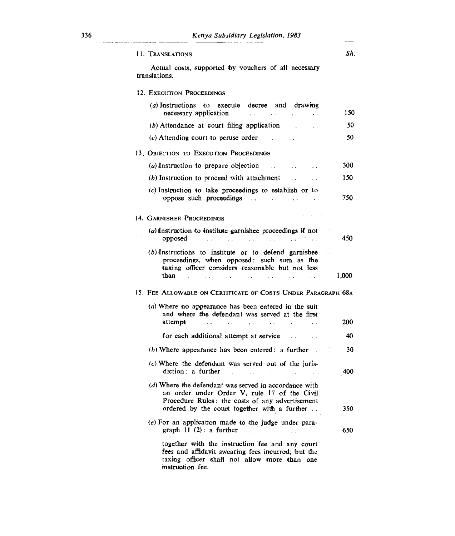| 11. Translations                                              |                                                                                                                                                                                                          |                                    |                                                                               |                      | Sh.   |
|---------------------------------------------------------------|----------------------------------------------------------------------------------------------------------------------------------------------------------------------------------------------------------|------------------------------------|-------------------------------------------------------------------------------|----------------------|-------|
| translations.                                                 | Actual costs, supported by vouchers of all necessary                                                                                                                                                     |                                    |                                                                               |                      |       |
| 12. EXECUTION PROCEEDINGS                                     |                                                                                                                                                                                                          |                                    |                                                                               |                      |       |
|                                                               | (a) Instructions to execute decree and drawing<br>necessary application                                                                                                                                  |                                    | $\mathbf{z}$ , and $\mathbf{z}$ , and $\mathbf{z}$<br><b>Contractor</b> State | $\ddot{\phantom{a}}$ | 150   |
|                                                               | $(b)$ Attendance at court filing application                                                                                                                                                             |                                    |                                                                               |                      | 50    |
|                                                               | $(c)$ Attending court to peruse order $\ldots$                                                                                                                                                           |                                    |                                                                               |                      | 50    |
| 13. OBJECTION TO EXECUTION PROCEEDINGS                        |                                                                                                                                                                                                          |                                    |                                                                               |                      |       |
|                                                               | (a) Instruction to prepare objection                                                                                                                                                                     |                                    |                                                                               |                      | 300   |
|                                                               | (b) Instruction to proceed with attachment                                                                                                                                                               |                                    | $\mathbf{r}$                                                                  | $\sim$ $\sim$        | 150   |
|                                                               | $(c)$ Instruction to take proceedings to establish or to                                                                                                                                                 |                                    |                                                                               |                      | 750   |
| 14. GARNISHEE PROCEEDINGS                                     |                                                                                                                                                                                                          |                                    |                                                                               |                      |       |
| opposed                                                       | (a) Instruction to institute garnishee proceedings if not<br>$\mathcal{A}$ and the second state of the second state of the second state $\mathcal{A}$                                                    |                                    |                                                                               |                      | 450   |
| than<br><b>Contract</b>                                       | (b) Instructions to institute or to defend garnishee<br>proceedings, when opposed: such sum as the<br>taxing officer considers reasonable but not less<br>$\sim 10$                                      | and a strong state of the state of | <b>Contractor</b>                                                             | $\mathbf{r}$         | 1,000 |
| 15. Fee Allowable on Certificate of Costs Under Paragraph 68a |                                                                                                                                                                                                          |                                    |                                                                               |                      |       |
| attempt                                                       | (a) Where no appearance has been entered in the suit<br>and where the defendant was served at the first<br>$\sim 10^{-11}$                                                                               | $\ddot{\phantom{a}}$               | $\mathbf{A}$ and $\mathbf{A}$ and $\mathbf{A}$                                |                      | 200   |
|                                                               |                                                                                                                                                                                                          |                                    |                                                                               |                      | 40    |
|                                                               |                                                                                                                                                                                                          |                                    |                                                                               |                      | 30    |
|                                                               | $(b)$ Where appearance has been entered: a further                                                                                                                                                       |                                    |                                                                               |                      |       |
|                                                               | $(c)$ Where the defendant was served out of the juris-<br>diction: a further<br><b>Contract Contract</b>                                                                                                 | $\mathbf{r}$                       |                                                                               |                      | 400   |
|                                                               | (d) Where the defendant was served in accordance with<br>an order under Order V, rule 17 of the Civil<br>Procedure Rules: the costs of any advertisement<br>ordered by the court together with a further |                                    |                                                                               |                      | 350   |
|                                                               | (e) For an application made to the judge under para-<br>graph $11(2)$ : a further                                                                                                                        |                                    |                                                                               |                      | 650   |
| instruction fee.                                              | together with the instruction fee and any court<br>fees and affidavit swearing fees incurred; but the<br>taxing officer shall not allow more than one                                                    |                                    |                                                                               |                      |       |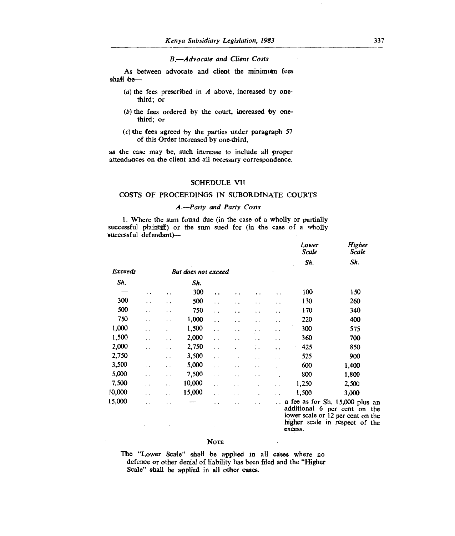#### *B, Advocate and Client Costs*

As between advocate and client the minimum fees shall be-

- (a) the fees prescribed in *A* above, increased by onethird; or
- (b) the fees ordered by the court, increased by onethird; or
- (c) the fees agreed by the parties under paragraph 57 of this Order increased by one-third,

as the case may be, such increase to include all proper attendances on the client and all necessary correspondence.

### SCHEDULE VII

## COSTS OF PROCEEDINGS IN SUBORDINATE COURTS

### *A.—Party and Party Costs*

1. Where the sum found due (in the case of a wholly or partially successful plaintiff) or the sum sued for (in the case of a wholly successful defendant)—

|         |                      |                      |                     |                      |     |                      |                      | Lower<br><b>Scale</b> | Higher<br>Scale                                                                                                                        |
|---------|----------------------|----------------------|---------------------|----------------------|-----|----------------------|----------------------|-----------------------|----------------------------------------------------------------------------------------------------------------------------------------|
|         |                      |                      |                     |                      |     |                      |                      | Sh.                   | Sh.                                                                                                                                    |
| Exceeds |                      |                      | But does not exceed |                      |     |                      |                      |                       |                                                                                                                                        |
| Sh.     |                      |                      | Sh.                 |                      |     |                      |                      |                       |                                                                                                                                        |
|         | . .                  | . .                  | 300                 | $\cdot$ $\cdot$      | . . |                      | $\ddot{\phantom{1}}$ | 100                   | 150                                                                                                                                    |
| 300     | . .                  | . .                  | 500                 | $\ddot{\phantom{0}}$ | . . | $\cdot$ .            | $\ddot{\phantom{1}}$ | 130                   | 260                                                                                                                                    |
| 500     | . .                  | . .                  | 750                 | $\ddot{\phantom{0}}$ | . . | . .                  | . .                  | 170                   | 340                                                                                                                                    |
| 750     | . .                  | . .                  | 1,000               | $\ddot{\phantom{0}}$ | . . | . .                  | . .                  | 220                   | 400                                                                                                                                    |
| 1,000   | . .                  | $\cdot$ .            | 1,500               | . .                  | . . | $\ddot{\phantom{0}}$ | . .                  | 300                   | 575                                                                                                                                    |
| 1,500   | $\ddot{\phantom{1}}$ | . .                  | 2,000               | $\ddot{\phantom{0}}$ | . . | $\ddot{\phantom{0}}$ | . .                  | 360                   | 700                                                                                                                                    |
| 2,000   | . .                  | . .                  | 2,750               | $\ddot{\phantom{0}}$ |     | $\ddot{\phantom{0}}$ | . .                  | 425                   | 850                                                                                                                                    |
| 2,750   |                      | $\ddot{\phantom{0}}$ | 3,500               | $\ddot{\phantom{0}}$ |     | $\ddot{\phantom{1}}$ | . .                  | 525                   | 900                                                                                                                                    |
| 3,500   | $\sim$               | . .                  | 5,000               | $\ddot{\phantom{0}}$ | . . | . .                  |                      | 600                   | 1,400                                                                                                                                  |
| 5,000   | . .                  | . .                  | 7,500               | $\ddot{\phantom{0}}$ | . . | . .                  | $\ddot{\phantom{0}}$ | 800                   | 1,800                                                                                                                                  |
| 7,500   | $\cdot$              | . .                  | 10,000              | $\ddot{\phantom{1}}$ |     |                      | $\ddot{\phantom{1}}$ | 1,250                 | 2,500                                                                                                                                  |
| 10,000  | . .                  | . .                  | 15,000              | . .                  | ٠.  | $\ddot{\phantom{0}}$ | $\cdot$ .            | 1,500                 | 3,000                                                                                                                                  |
| 15,000  | . .                  | . .                  |                     | . .                  | . . | $\ddot{\phantom{1}}$ | . .                  |                       | a fee as for Sh. 15,000 plus an<br>additional 6 per cent on the<br>lower scale or 12 per cent on the<br>higher scale in respect of the |

excess.

#### **NOTE**

The "Lower Scale" shall be applied in all cases where no defence or other denial of liability has been filed and the "Higher Scale" shall be applied in all other cases.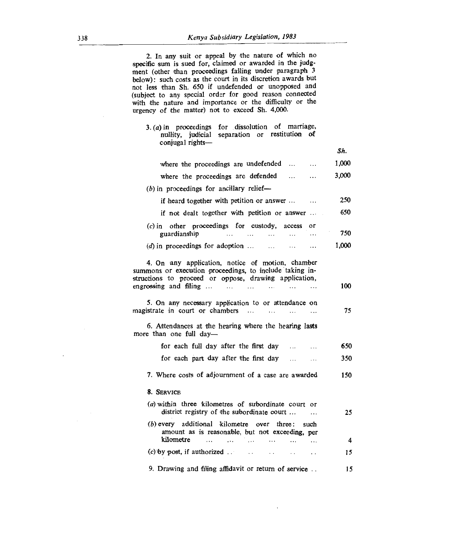| 2. In any suit or appeal by the nature of which no<br>specific sum is sued for, claimed or awarded in the judg-<br>ment (other than proceedings falling under paragraph 3<br>below): such costs as the court in its discretion awards but<br>not less than Sh. 650 if undefended or unopposed and<br>(subject to any special order for good reason connected<br>with the nature and importance or the difficulty or the<br>urgency of the matter) not to exceed Sh. 4,000. |       |
|----------------------------------------------------------------------------------------------------------------------------------------------------------------------------------------------------------------------------------------------------------------------------------------------------------------------------------------------------------------------------------------------------------------------------------------------------------------------------|-------|
| $3. (a)$ in proceedings for dissolution of marriage,<br>nullity, judicial separation or restitution of<br>conjugal rights-                                                                                                                                                                                                                                                                                                                                                 |       |
|                                                                                                                                                                                                                                                                                                                                                                                                                                                                            | Sh.   |
| where the proceedings are undefended<br>$\ddotsc$                                                                                                                                                                                                                                                                                                                                                                                                                          | 1,000 |
| where the proceedings are defended<br>$\cdots$<br>.                                                                                                                                                                                                                                                                                                                                                                                                                        | 3,000 |
| $(b)$ in proceedings for ancillary relief—                                                                                                                                                                                                                                                                                                                                                                                                                                 |       |
| if heard together with petition or answer                                                                                                                                                                                                                                                                                                                                                                                                                                  | 250   |
| if not dealt together with petition or answer                                                                                                                                                                                                                                                                                                                                                                                                                              | 650   |
| $(c)$ in other proceedings for custody, access<br>or<br>guardianship<br>$\cdots$<br>$\cdots$<br>.                                                                                                                                                                                                                                                                                                                                                                          | 750   |
| $(d)$ in proceedings for adoption<br>$\cdots$<br>.                                                                                                                                                                                                                                                                                                                                                                                                                         | 1,000 |
| 4. On any application, notice of motion, chamber<br>summons or execution proceedings, to include taking in-<br>structions to proceed or oppose, drawing application,<br>engrossing and filing<br>$\cdots$                                                                                                                                                                                                                                                                  | 100   |
| 5. On any necessary application to or attendance on<br>magistrate in court or chambers<br>$\cdots$<br>$\dddot{\phantom{0}}$<br>$\ddotsc$<br>$\cdots$                                                                                                                                                                                                                                                                                                                       | 75    |
| 6. Attendances at the hearing where the hearing lasts<br>more than one full day-                                                                                                                                                                                                                                                                                                                                                                                           |       |
| for each full day after the first day<br>$\cdots$                                                                                                                                                                                                                                                                                                                                                                                                                          | 650   |
| for each part day after the first day                                                                                                                                                                                                                                                                                                                                                                                                                                      | 350   |
| 7. Where costs of adjournment of a case are awarded                                                                                                                                                                                                                                                                                                                                                                                                                        | 150   |
| 8. SERVICE                                                                                                                                                                                                                                                                                                                                                                                                                                                                 |       |
| $(a)$ within three kilometres of subordinate court or<br>district registry of the subordinate court<br>.                                                                                                                                                                                                                                                                                                                                                                   | 25    |
| (b) every additional kilometre over three:<br>such<br>amount as is reasonable, but not exceeding, per<br>kilometre<br>.<br>$\cdots$<br>$\cdots$<br>.<br>.<br>                                                                                                                                                                                                                                                                                                              | 4     |
| $(c)$ by post, if authorized $\ldots$ $\ldots$ $\ldots$<br>$\cdots$                                                                                                                                                                                                                                                                                                                                                                                                        | 15    |
| 9. Drawing and filing affidavit or return of service                                                                                                                                                                                                                                                                                                                                                                                                                       | 15    |

 $\overline{\phantom{a}}$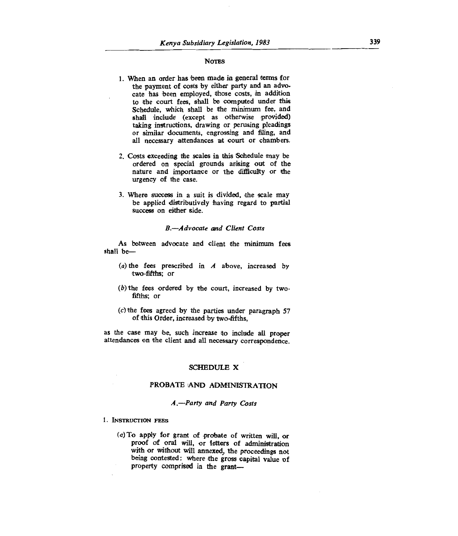#### **Noms**

- **1. When an order has been made in general terms for the payment of costs by either party and an advocate has been employed, those costs, in addition to the court fees, shall be computed under this Schedule, which shall be the minimum fee, and shall include (except as otherwise provided) taking instructions, drawing or perusing pleadings or similar documents, engrossing and filing, and all necessary attendances at court or chambers.**
- **2. Costs exceeding the scales in this Schedule may be ordered on special grounds arising out of the nature and importance or the difficulty or the urgency of the case.**
- **3. Where success in a suit is divided, the scale may be applied distributively having regard to partial success on either side.**

### *B. Advocate and Client Costs*

**As between advocate and client the minimum fees shall be—** 

- **(a)the fees prescribed in** *A* **above, increased by two-fifths; or**
- **(b)the fees ordered by the court, increased by twofifths; or**
- **(c)the fees agreed by the parties under paragraph 57 of this Order, increased by two-fifths,**

**as the case may be, such increase to include all proper attendances on the client and all necessary correspondence.** 

#### **SCHEDULE X**

# **PROBATE AND ADMINISTRATION**

### *A.—Party and Party Costs*

- **1. INSTRUCTION FEES** 
	- *(a)* **To apply for grant of probate of written will, or proof of oral will, or letters of administration with or without Will annexed, the proceedings not being contested: where the gross capital value of**  property comprised in the grant-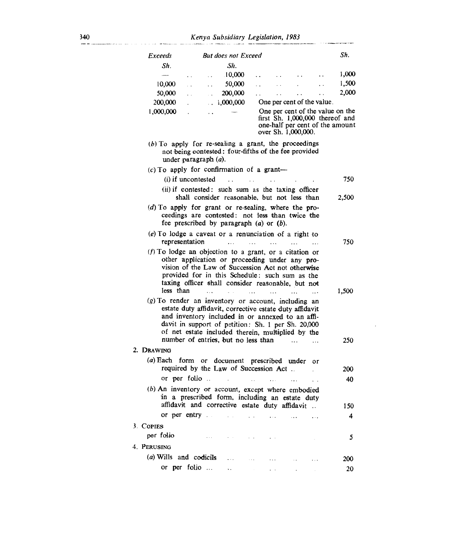| Exceeds                |                                                                                                                                                                                                                                                                               | <b>But does not Exceed</b>     |                          |                                                                                                                               |                      |                      | Sh.        |
|------------------------|-------------------------------------------------------------------------------------------------------------------------------------------------------------------------------------------------------------------------------------------------------------------------------|--------------------------------|--------------------------|-------------------------------------------------------------------------------------------------------------------------------|----------------------|----------------------|------------|
| Sh.                    |                                                                                                                                                                                                                                                                               | Sh.                            |                          |                                                                                                                               |                      |                      |            |
|                        | $\ddot{\phantom{0}}$                                                                                                                                                                                                                                                          | 10,000                         | $\ddot{\phantom{0}}$     |                                                                                                                               | $\ddot{\phantom{0}}$ |                      | 1,000      |
| 10,000                 | $\ddot{\phantom{0}}$<br>$\ddot{\phantom{0}}$                                                                                                                                                                                                                                  | 50,000                         | . .                      |                                                                                                                               |                      |                      | 1,500      |
| 50,000                 | $\ddot{\phantom{a}}$                                                                                                                                                                                                                                                          | 200,000                        | $\ddot{\phantom{0}}$     |                                                                                                                               | $\ddot{\phantom{0}}$ | $\ddot{\phantom{0}}$ | 2,000      |
| 200,000                | $\ddot{\phantom{0}}$                                                                                                                                                                                                                                                          | 1,000,000                      |                          | One per cent of the value.                                                                                                    |                      |                      |            |
| 1,000,000              | . .                                                                                                                                                                                                                                                                           |                                |                          | One per cent of the value on the<br>first Sh. 1,000,000 thereof and<br>one-half per cent of the amount<br>over Sh. 1,000,000. |                      |                      |            |
|                        | $(b)$ To apply for re-sealing a grant, the proceedings<br>not being contested: four-fifths of the fee provided<br>under paragraph $(a)$ .                                                                                                                                     |                                |                          |                                                                                                                               |                      |                      |            |
|                        | $(c)$ To apply for confirmation of a grant--                                                                                                                                                                                                                                  |                                |                          |                                                                                                                               |                      |                      |            |
|                        | (i) if uncontested                                                                                                                                                                                                                                                            | and the company of the company |                          |                                                                                                                               |                      |                      | 750        |
|                        | (ii) if contested: such sum as the taxing officer<br>shall consider reasonable, but not less than                                                                                                                                                                             |                                |                          |                                                                                                                               |                      |                      | 2,500      |
|                        | (d) To apply for grant or re-sealing, where the pro-<br>ceedings are contested: not less than twice the<br>fee prescribed by paragraph $(a)$ or $(b)$ .                                                                                                                       |                                |                          |                                                                                                                               |                      |                      |            |
|                        | (e) To lodge a caveat or a renunciation of a right to<br>representation                                                                                                                                                                                                       |                                | $\cdots$                 | $\ddotsc$                                                                                                                     |                      | $\cdots$             | 750        |
|                        | $(f)$ To lodge an objection to a grant, or a citation or                                                                                                                                                                                                                      |                                |                          |                                                                                                                               |                      |                      |            |
| less than              | other application or proceeding under any pro-<br>vision of the Law of Succession Act not otherwise<br>provided for in this Schedule: such sum as the<br>taxing officer shall consider reasonable, but not<br>$\cdots$                                                        | $\sim$                         | $\cdots$                 | $\cdots$                                                                                                                      |                      |                      | 1,500      |
|                        | (g) To render an inventory or account, including an<br>estate duty affidavit, corrective estate duty affidavit<br>and inventory included in or annexed to an affi-<br>davit in support of petition: Sh. 1 per Sh. 20,000<br>of net estate included therein, multiplied by the |                                |                          |                                                                                                                               |                      |                      |            |
| 2. Drawing             | number of entries, but no less than                                                                                                                                                                                                                                           |                                |                          |                                                                                                                               |                      |                      | 250        |
| $(a)$ Each form        |                                                                                                                                                                                                                                                                               | or document prescribed under   |                          |                                                                                                                               |                      | or                   |            |
|                        | required by the Law of Succession Act.                                                                                                                                                                                                                                        |                                |                          |                                                                                                                               |                      |                      | <b>200</b> |
|                        | or per folio                                                                                                                                                                                                                                                                  |                                | <b>Contract Contract</b> | $\cdots$                                                                                                                      | $\ddotsc$            |                      | 40         |
|                        | (b) An inventory or account, except where embodied<br>in a prescribed form, including an estate duty                                                                                                                                                                          |                                |                          |                                                                                                                               |                      |                      |            |
|                        | affidavit and corrective estate duty affidavit                                                                                                                                                                                                                                |                                |                          |                                                                                                                               |                      |                      | 150        |
|                        | or per entry and a series and the series of the series of the series of the series of the series of the series                                                                                                                                                                |                                |                          |                                                                                                                               | $\cdots$             | $\cdots$             | 4          |
| 3. Copies              |                                                                                                                                                                                                                                                                               |                                |                          |                                                                                                                               |                      |                      |            |
| per folio              | $\sim$ $\sim$ $\sim$                                                                                                                                                                                                                                                          | $\mathcal{L}^{\text{max}}$     | $\alpha = 10$            | $\cdot$ $\cdot$                                                                                                               |                      |                      | 5          |
| 4. PERUSING            |                                                                                                                                                                                                                                                                               |                                |                          |                                                                                                                               |                      |                      |            |
| (a) Wills and codicils |                                                                                                                                                                                                                                                                               | $\cdots$                       | $\ldots$                 | $\cdots$                                                                                                                      | $\ddot{\phantom{a}}$ | $\ddotsc$            | 200        |
|                        | or per folio                                                                                                                                                                                                                                                                  |                                |                          |                                                                                                                               |                      | $\lambda$            | 20         |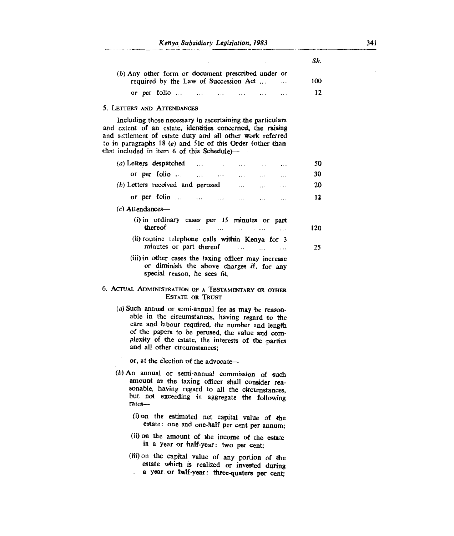| (b) Any other form or document prescribed under or |          |     |
|----------------------------------------------------|----------|-----|
| required by the Law of Succession Act              | $\cdots$ | 100 |
| or per folio $\ldots$ $\ldots$ $\ldots$ $\ldots$   |          | 12  |

### 5. **LETTERS AND ATTENDANCES**

Including those necessary in ascertaining the particulars and extent of an estate, identities concerned, the raising and settlement of estate duty and all other work referred to in paragraphs 18 *(e)* and 51c of this Order (other than that included in item 6 of this Schedule)—

| 50  |                                                                                                                                                                                                                                                                                                      |  |  | $(a)$ Letters despatched $\dots$ $\dots$                                                                                                                                                                |  |  |         |                    |  |  |
|-----|------------------------------------------------------------------------------------------------------------------------------------------------------------------------------------------------------------------------------------------------------------------------------------------------------|--|--|---------------------------------------------------------------------------------------------------------------------------------------------------------------------------------------------------------|--|--|---------|--------------------|--|--|
|     | $\cdots$                                                                                                                                                                                                                                                                                             |  |  |                                                                                                                                                                                                         |  |  |         |                    |  |  |
| 30  |                                                                                                                                                                                                                                                                                                      |  |  | or per folio                                                                                                                                                                                            |  |  |         |                    |  |  |
| 20  | $\cdots$                                                                                                                                                                                                                                                                                             |  |  | (b) Letters received and perused                                                                                                                                                                        |  |  |         |                    |  |  |
| 12  |                                                                                                                                                                                                                                                                                                      |  |  | or per folio $\ldots$ $\ldots$ $\ldots$ $\ldots$                                                                                                                                                        |  |  |         |                    |  |  |
|     |                                                                                                                                                                                                                                                                                                      |  |  |                                                                                                                                                                                                         |  |  |         | $(c)$ Attendances— |  |  |
| 120 |                                                                                                                                                                                                                                                                                                      |  |  | (i) in ordinary cases per 15 minutes or part<br>$\cdots$                                                                                                                                                |  |  | thereof |                    |  |  |
| 25  |                                                                                                                                                                                                                                                                                                      |  |  | (ii) routine telephone calls within Kenya for 3<br>minutes or part thereof                                                                                                                              |  |  |         |                    |  |  |
|     | (iii) in other cases the taxing officer may increase<br>or diminish the above charges if, for any<br>special reason, he sees fit.                                                                                                                                                                    |  |  |                                                                                                                                                                                                         |  |  |         |                    |  |  |
|     | 6. ACTUAL ADMINISTRATION OF A TESTAMENTARY OR OTHER<br><b>ESTATE OR TRUST</b>                                                                                                                                                                                                                        |  |  |                                                                                                                                                                                                         |  |  |         |                    |  |  |
|     | (a) Such annual or semi-annual fee as may be reason-<br>able in the circumstances, having regard to the<br>care and labour required, the number and length<br>of the papers to be perused, the value and com-<br>plexity of the estate, the interests of the parties<br>and all other circumstances; |  |  |                                                                                                                                                                                                         |  |  |         |                    |  |  |
|     | or, at the election of the advocate-                                                                                                                                                                                                                                                                 |  |  |                                                                                                                                                                                                         |  |  |         |                    |  |  |
|     |                                                                                                                                                                                                                                                                                                      |  |  | (b) An annual or semi-annual commission of such<br>amount as the taxing officer shall consider rea-<br>sonable, having regard to all the circumstances,<br>but not exceeding in aggregate the following |  |  |         | rates-             |  |  |
|     |                                                                                                                                                                                                                                                                                                      |  |  | $(i)$ on the estimated not conjugate value of the                                                                                                                                                       |  |  |         |                    |  |  |

- d net capital value of the estate : one and one-half per cent per annum;
- (ii) on the amount of the income of the estate in a year or half-year : two per cent;
- (iii) on the capital value of any portion of the estate which is realized or invested **during**  a year or half-year: three-quaters per cent;

*Sh.*